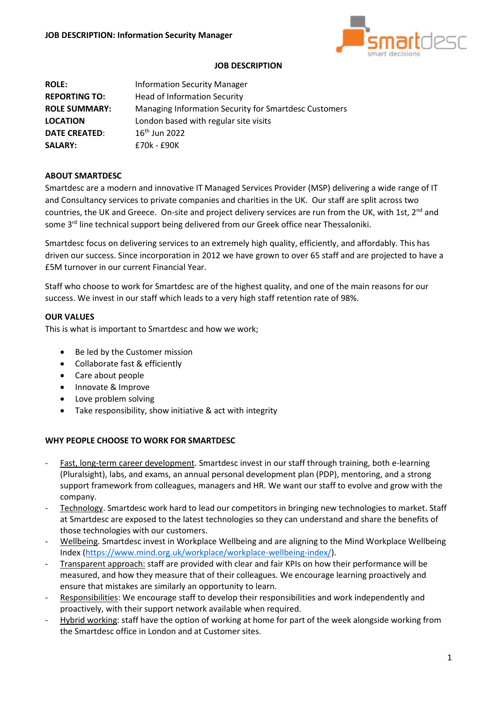

### **JOB DESCRIPTION**

**ROLE:** Information Security Manager **REPORTING TO:** Head of Information Security **ROLE SUMMARY:** Managing Information Security for Smartdesc Customers **LOCATION** London based with regular site visits **DATE CREATED:** 16<sup>th</sup> Jun 2022 **SALARY:** £70k - £90K

# **ABOUT SMARTDESC**

Smartdesc are a modern and innovative IT Managed Services Provider (MSP) delivering a wide range of IT and Consultancy services to private companies and charities in the UK. Our staff are split across two countries, the UK and Greece. On-site and project delivery services are run from the UK, with 1st, 2<sup>nd</sup> and some 3<sup>rd</sup> line technical support being delivered from our Greek office near Thessaloniki.

Smartdesc focus on delivering services to an extremely high quality, efficiently, and affordably. This has driven our success. Since incorporation in 2012 we have grown to over 65 staff and are projected to have a £5M turnover in our current Financial Year.

Staff who choose to work for Smartdesc are of the highest quality, and one of the main reasons for our success. We invest in our staff which leads to a very high staff retention rate of 98%.

# **OUR VALUES**

This is what is important to Smartdesc and how we work;

- Be led by the Customer mission
- Collaborate fast & efficiently
- Care about people
- Innovate & Improve
- Love problem solving
- Take responsibility, show initiative & act with integrity

# **WHY PEOPLE CHOOSE TO WORK FOR SMARTDESC**

- Fast, long-term career development. Smartdesc invest in our staff through training, both e-learning (Pluralsight), labs, and exams, an annual personal development plan (PDP), mentoring, and a strong support framework from colleagues, managers and HR. We want our staff to evolve and grow with the company.
- Technology. Smartdesc work hard to lead our competitors in bringing new technologies to market. Staff at Smartdesc are exposed to the latest technologies so they can understand and share the benefits of those technologies with our customers.
- Wellbeing. Smartdesc invest in Workplace Wellbeing and are aligning to the Mind Workplace Wellbeing Index [\(https://www.mind.org.uk/workplace/workplace-wellbeing-index/\)](https://www.mind.org.uk/workplace/workplace-wellbeing-index/).
- Transparent approach: staff are provided with clear and fair KPIs on how their performance will be measured, and how they measure that of their colleagues. We encourage learning proactively and ensure that mistakes are similarly an opportunity to learn.
- Responsibilities: We encourage staff to develop their responsibilities and work independently and proactively, with their support network available when required.
- Hybrid working: staff have the option of working at home for part of the week alongside working from the Smartdesc office in London and at Customer sites.